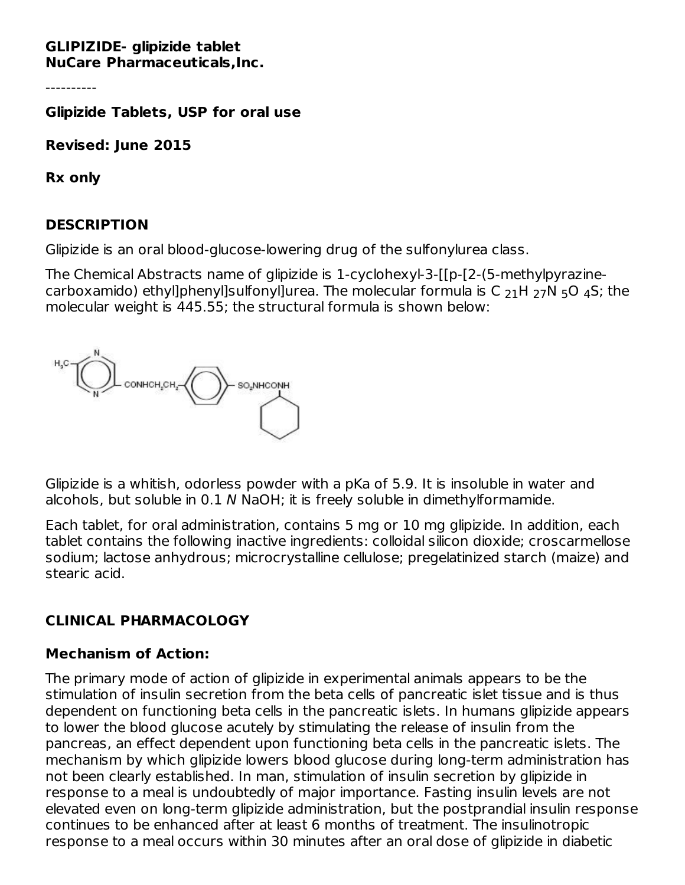#### **GLIPIZIDE- glipizide tablet NuCare Pharmaceuticals,Inc.**

----------

**Glipizide Tablets, USP for oral use**

**Revised: June 2015**

**Rx only**

#### **DESCRIPTION**

Glipizide is an oral blood-glucose-lowering drug of the sulfonylurea class.

The Chemical Abstracts name of glipizide is 1-cyclohexyl-3-[[p-[2-(5-methylpyrazinecarboxamido) ethyl]phenyl]sulfonyl]urea. The molecular formula is C  $_{21}$ H  $_{27}$ N  $_{5}$ O  $_{4}$ S; the molecular weight is 445.55; the structural formula is shown below:



Glipizide is a whitish, odorless powder with a pKa of 5.9. It is insoluble in water and alcohols, but soluble in 0.1 N NaOH; it is freely soluble in dimethylformamide.

Each tablet, for oral administration, contains 5 mg or 10 mg glipizide. In addition, each tablet contains the following inactive ingredients: colloidal silicon dioxide; croscarmellose sodium; lactose anhydrous; microcrystalline cellulose; pregelatinized starch (maize) and stearic acid.

## **CLINICAL PHARMACOLOGY**

#### **Mechanism of Action:**

The primary mode of action of glipizide in experimental animals appears to be the stimulation of insulin secretion from the beta cells of pancreatic islet tissue and is thus dependent on functioning beta cells in the pancreatic islets. In humans glipizide appears to lower the blood glucose acutely by stimulating the release of insulin from the pancreas, an effect dependent upon functioning beta cells in the pancreatic islets. The mechanism by which glipizide lowers blood glucose during long-term administration has not been clearly established. In man, stimulation of insulin secretion by glipizide in response to a meal is undoubtedly of major importance. Fasting insulin levels are not elevated even on long-term glipizide administration, but the postprandial insulin response continues to be enhanced after at least 6 months of treatment. The insulinotropic response to a meal occurs within 30 minutes after an oral dose of glipizide in diabetic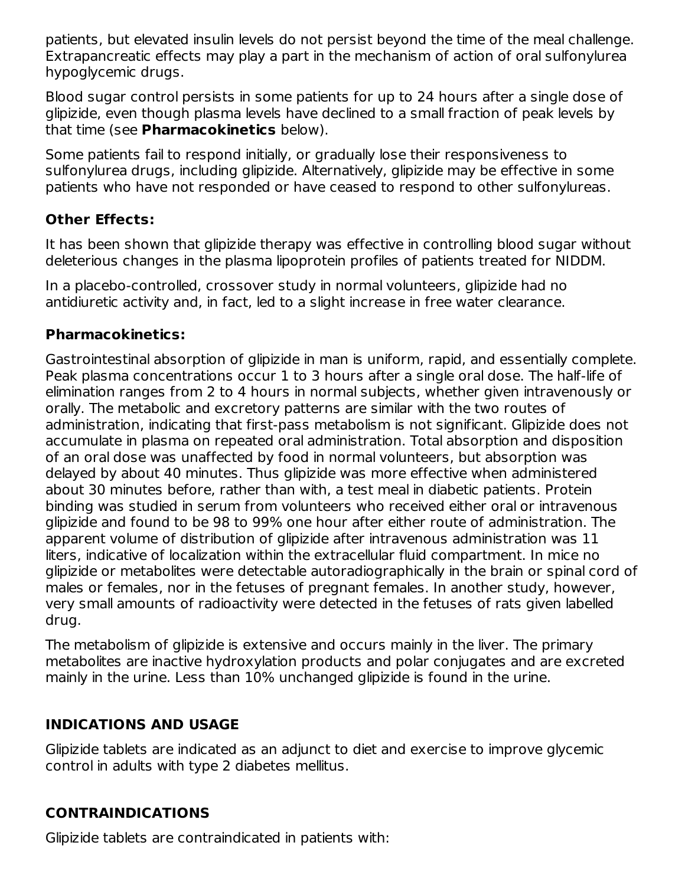patients, but elevated insulin levels do not persist beyond the time of the meal challenge. Extrapancreatic effects may play a part in the mechanism of action of oral sulfonylurea hypoglycemic drugs.

Blood sugar control persists in some patients for up to 24 hours after a single dose of glipizide, even though plasma levels have declined to a small fraction of peak levels by that time (see **Pharmacokinetics** below).

Some patients fail to respond initially, or gradually lose their responsiveness to sulfonylurea drugs, including glipizide. Alternatively, glipizide may be effective in some patients who have not responded or have ceased to respond to other sulfonylureas.

## **Other Effects:**

It has been shown that glipizide therapy was effective in controlling blood sugar without deleterious changes in the plasma lipoprotein profiles of patients treated for NIDDM.

In a placebo-controlled, crossover study in normal volunteers, glipizide had no antidiuretic activity and, in fact, led to a slight increase in free water clearance.

## **Pharmacokinetics:**

Gastrointestinal absorption of glipizide in man is uniform, rapid, and essentially complete. Peak plasma concentrations occur 1 to 3 hours after a single oral dose. The half-life of elimination ranges from 2 to 4 hours in normal subjects, whether given intravenously or orally. The metabolic and excretory patterns are similar with the two routes of administration, indicating that first-pass metabolism is not significant. Glipizide does not accumulate in plasma on repeated oral administration. Total absorption and disposition of an oral dose was unaffected by food in normal volunteers, but absorption was delayed by about 40 minutes. Thus glipizide was more effective when administered about 30 minutes before, rather than with, a test meal in diabetic patients. Protein binding was studied in serum from volunteers who received either oral or intravenous glipizide and found to be 98 to 99% one hour after either route of administration. The apparent volume of distribution of glipizide after intravenous administration was 11 liters, indicative of localization within the extracellular fluid compartment. In mice no glipizide or metabolites were detectable autoradiographically in the brain or spinal cord of males or females, nor in the fetuses of pregnant females. In another study, however, very small amounts of radioactivity were detected in the fetuses of rats given labelled drug.

The metabolism of glipizide is extensive and occurs mainly in the liver. The primary metabolites are inactive hydroxylation products and polar conjugates and are excreted mainly in the urine. Less than 10% unchanged glipizide is found in the urine.

## **INDICATIONS AND USAGE**

Glipizide tablets are indicated as an adjunct to diet and exercise to improve glycemic control in adults with type 2 diabetes mellitus.

# **CONTRAINDICATIONS**

Glipizide tablets are contraindicated in patients with: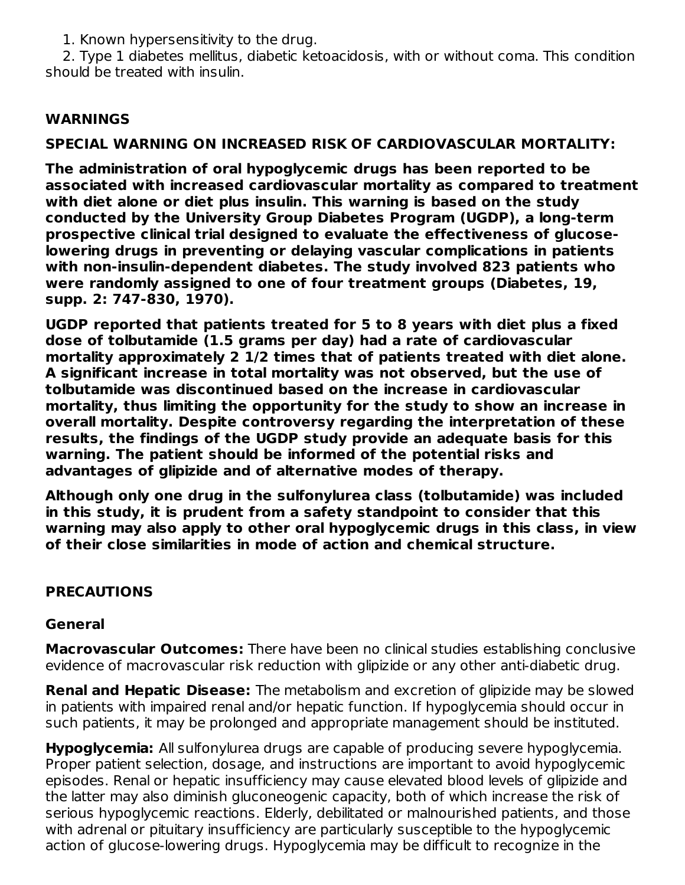1. Known hypersensitivity to the drug.

2. Type 1 diabetes mellitus, diabetic ketoacidosis, with or without coma. This condition should be treated with insulin.

#### **WARNINGS**

#### **SPECIAL WARNING ON INCREASED RISK OF CARDIOVASCULAR MORTALITY:**

**The administration of oral hypoglycemic drugs has been reported to be associated with increased cardiovascular mortality as compared to treatment with diet alone or diet plus insulin. This warning is based on the study conducted by the University Group Diabetes Program (UGDP), a long-term prospective clinical trial designed to evaluate the effectiveness of glucoselowering drugs in preventing or delaying vascular complications in patients with non-insulin-dependent diabetes. The study involved 823 patients who were randomly assigned to one of four treatment groups (Diabetes, 19, supp. 2: 747-830, 1970).**

**UGDP reported that patients treated for 5 to 8 years with diet plus a fixed dose of tolbutamide (1.5 grams per day) had a rate of cardiovascular mortality approximately 2 1/2 times that of patients treated with diet alone. A significant increase in total mortality was not observed, but the use of tolbutamide was discontinued based on the increase in cardiovascular mortality, thus limiting the opportunity for the study to show an increase in overall mortality. Despite controversy regarding the interpretation of these results, the findings of the UGDP study provide an adequate basis for this warning. The patient should be informed of the potential risks and advantages of glipizide and of alternative modes of therapy.**

**Although only one drug in the sulfonylurea class (tolbutamide) was included in this study, it is prudent from a safety standpoint to consider that this warning may also apply to other oral hypoglycemic drugs in this class, in view of their close similarities in mode of action and chemical structure.**

## **PRECAUTIONS**

#### **General**

**Macrovascular Outcomes:** There have been no clinical studies establishing conclusive evidence of macrovascular risk reduction with glipizide or any other anti-diabetic drug.

**Renal and Hepatic Disease:** The metabolism and excretion of glipizide may be slowed in patients with impaired renal and/or hepatic function. If hypoglycemia should occur in such patients, it may be prolonged and appropriate management should be instituted.

**Hypoglycemia:** All sulfonylurea drugs are capable of producing severe hypoglycemia. Proper patient selection, dosage, and instructions are important to avoid hypoglycemic episodes. Renal or hepatic insufficiency may cause elevated blood levels of glipizide and the latter may also diminish gluconeogenic capacity, both of which increase the risk of serious hypoglycemic reactions. Elderly, debilitated or malnourished patients, and those with adrenal or pituitary insufficiency are particularly susceptible to the hypoglycemic action of glucose-lowering drugs. Hypoglycemia may be difficult to recognize in the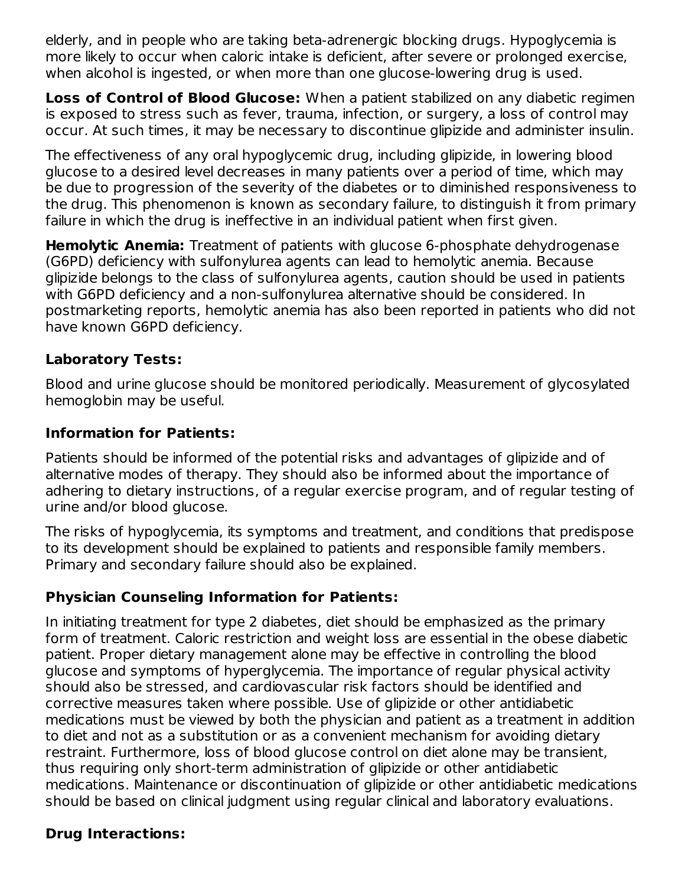elderly, and in people who are taking beta-adrenergic blocking drugs. Hypoglycemia is more likely to occur when caloric intake is deficient, after severe or prolonged exercise, when alcohol is ingested, or when more than one glucose-lowering drug is used.

**Loss of Control of Blood Glucose:** When a patient stabilized on any diabetic regimen is exposed to stress such as fever, trauma, infection, or surgery, a loss of control may occur. At such times, it may be necessary to discontinue glipizide and administer insulin.

The effectiveness of any oral hypoglycemic drug, including glipizide, in lowering blood glucose to a desired level decreases in many patients over a period of time, which may be due to progression of the severity of the diabetes or to diminished responsiveness to the drug. This phenomenon is known as secondary failure, to distinguish it from primary failure in which the drug is ineffective in an individual patient when first given.

**Hemolytic Anemia:** Treatment of patients with glucose 6-phosphate dehydrogenase (G6PD) deficiency with sulfonylurea agents can lead to hemolytic anemia. Because glipizide belongs to the class of sulfonylurea agents, caution should be used in patients with G6PD deficiency and a non-sulfonylurea alternative should be considered. In postmarketing reports, hemolytic anemia has also been reported in patients who did not have known G6PD deficiency.

#### **Laboratory Tests:**

Blood and urine glucose should be monitored periodically. Measurement of glycosylated hemoglobin may be useful.

#### **Information for Patients:**

Patients should be informed of the potential risks and advantages of glipizide and of alternative modes of therapy. They should also be informed about the importance of adhering to dietary instructions, of a regular exercise program, and of regular testing of urine and/or blood glucose.

The risks of hypoglycemia, its symptoms and treatment, and conditions that predispose to its development should be explained to patients and responsible family members. Primary and secondary failure should also be explained.

## **Physician Counseling Information for Patients:**

In initiating treatment for type 2 diabetes, diet should be emphasized as the primary form of treatment. Caloric restriction and weight loss are essential in the obese diabetic patient. Proper dietary management alone may be effective in controlling the blood glucose and symptoms of hyperglycemia. The importance of regular physical activity should also be stressed, and cardiovascular risk factors should be identified and corrective measures taken where possible. Use of glipizide or other antidiabetic medications must be viewed by both the physician and patient as a treatment in addition to diet and not as a substitution or as a convenient mechanism for avoiding dietary restraint. Furthermore, loss of blood glucose control on diet alone may be transient, thus requiring only short-term administration of glipizide or other antidiabetic medications. Maintenance or discontinuation of glipizide or other antidiabetic medications should be based on clinical judgment using regular clinical and laboratory evaluations.

## **Drug Interactions:**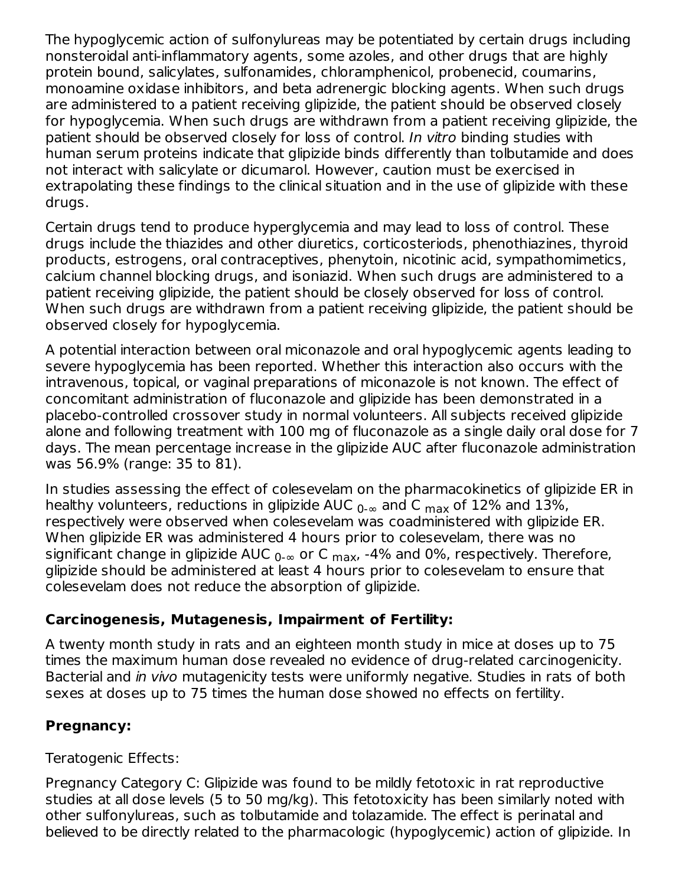The hypoglycemic action of sulfonylureas may be potentiated by certain drugs including nonsteroidal anti-inflammatory agents, some azoles, and other drugs that are highly protein bound, salicylates, sulfonamides, chloramphenicol, probenecid, coumarins, monoamine oxidase inhibitors, and beta adrenergic blocking agents. When such drugs are administered to a patient receiving glipizide, the patient should be observed closely for hypoglycemia. When such drugs are withdrawn from a patient receiving glipizide, the patient should be observed closely for loss of control. In vitro binding studies with human serum proteins indicate that glipizide binds differently than tolbutamide and does not interact with salicylate or dicumarol. However, caution must be exercised in extrapolating these findings to the clinical situation and in the use of glipizide with these drugs.

Certain drugs tend to produce hyperglycemia and may lead to loss of control. These drugs include the thiazides and other diuretics, corticosteriods, phenothiazines, thyroid products, estrogens, oral contraceptives, phenytoin, nicotinic acid, sympathomimetics, calcium channel blocking drugs, and isoniazid. When such drugs are administered to a patient receiving glipizide, the patient should be closely observed for loss of control. When such drugs are withdrawn from a patient receiving glipizide, the patient should be observed closely for hypoglycemia.

A potential interaction between oral miconazole and oral hypoglycemic agents leading to severe hypoglycemia has been reported. Whether this interaction also occurs with the intravenous, topical, or vaginal preparations of miconazole is not known. The effect of concomitant administration of fluconazole and glipizide has been demonstrated in a placebo-controlled crossover study in normal volunteers. All subjects received glipizide alone and following treatment with 100 mg of fluconazole as a single daily oral dose for 7 days. The mean percentage increase in the glipizide AUC after fluconazole administration was 56.9% (range: 35 to 81).

In studies assessing the effect of colesevelam on the pharmacokinetics of glipizide ER in healthy volunteers, reductions in glipizide AUC  $_{0\text{-}\infty}$  and C  $_{\text{max}}$  of 12% and 13%, respectively were observed when colesevelam was coadministered with glipizide ER. When glipizide ER was administered 4 hours prior to colesevelam, there was no significant change in glipizide AUC  $_{0\text{-}\infty}$  or C  $_{\text{max}}$ , -4% and 0%, respectively. Therefore, glipizide should be administered at least 4 hours prior to colesevelam to ensure that colesevelam does not reduce the absorption of glipizide.

#### **Carcinogenesis, Mutagenesis, Impairment of Fertility:**

A twenty month study in rats and an eighteen month study in mice at doses up to 75 times the maximum human dose revealed no evidence of drug-related carcinogenicity. Bacterial and in vivo mutagenicity tests were uniformly negative. Studies in rats of both sexes at doses up to 75 times the human dose showed no effects on fertility.

## **Pregnancy:**

Teratogenic Effects:

Pregnancy Category C: Glipizide was found to be mildly fetotoxic in rat reproductive studies at all dose levels (5 to 50 mg/kg). This fetotoxicity has been similarly noted with other sulfonylureas, such as tolbutamide and tolazamide. The effect is perinatal and believed to be directly related to the pharmacologic (hypoglycemic) action of glipizide. In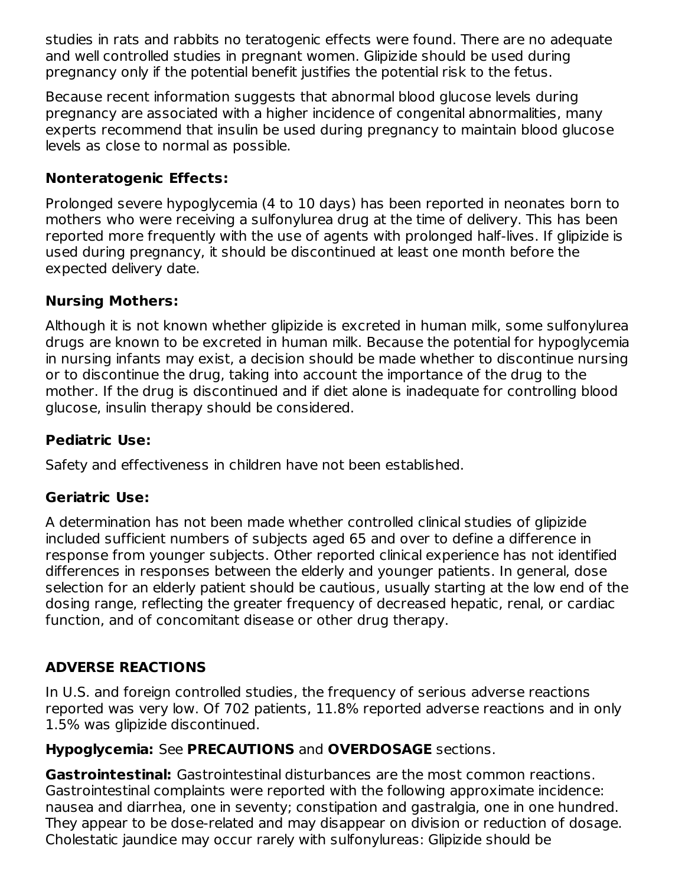studies in rats and rabbits no teratogenic effects were found. There are no adequate and well controlled studies in pregnant women. Glipizide should be used during pregnancy only if the potential benefit justifies the potential risk to the fetus.

Because recent information suggests that abnormal blood glucose levels during pregnancy are associated with a higher incidence of congenital abnormalities, many experts recommend that insulin be used during pregnancy to maintain blood glucose levels as close to normal as possible.

#### **Nonteratogenic Effects:**

Prolonged severe hypoglycemia (4 to 10 days) has been reported in neonates born to mothers who were receiving a sulfonylurea drug at the time of delivery. This has been reported more frequently with the use of agents with prolonged half-lives. If glipizide is used during pregnancy, it should be discontinued at least one month before the expected delivery date.

#### **Nursing Mothers:**

Although it is not known whether glipizide is excreted in human milk, some sulfonylurea drugs are known to be excreted in human milk. Because the potential for hypoglycemia in nursing infants may exist, a decision should be made whether to discontinue nursing or to discontinue the drug, taking into account the importance of the drug to the mother. If the drug is discontinued and if diet alone is inadequate for controlling blood glucose, insulin therapy should be considered.

#### **Pediatric Use:**

Safety and effectiveness in children have not been established.

## **Geriatric Use:**

A determination has not been made whether controlled clinical studies of glipizide included sufficient numbers of subjects aged 65 and over to define a difference in response from younger subjects. Other reported clinical experience has not identified differences in responses between the elderly and younger patients. In general, dose selection for an elderly patient should be cautious, usually starting at the low end of the dosing range, reflecting the greater frequency of decreased hepatic, renal, or cardiac function, and of concomitant disease or other drug therapy.

## **ADVERSE REACTIONS**

In U.S. and foreign controlled studies, the frequency of serious adverse reactions reported was very low. Of 702 patients, 11.8% reported adverse reactions and in only 1.5% was glipizide discontinued.

#### **Hypoglycemia:** See **PRECAUTIONS** and **OVERDOSAGE** sections.

**Gastrointestinal:** Gastrointestinal disturbances are the most common reactions. Gastrointestinal complaints were reported with the following approximate incidence: nausea and diarrhea, one in seventy; constipation and gastralgia, one in one hundred. They appear to be dose-related and may disappear on division or reduction of dosage. Cholestatic jaundice may occur rarely with sulfonylureas: Glipizide should be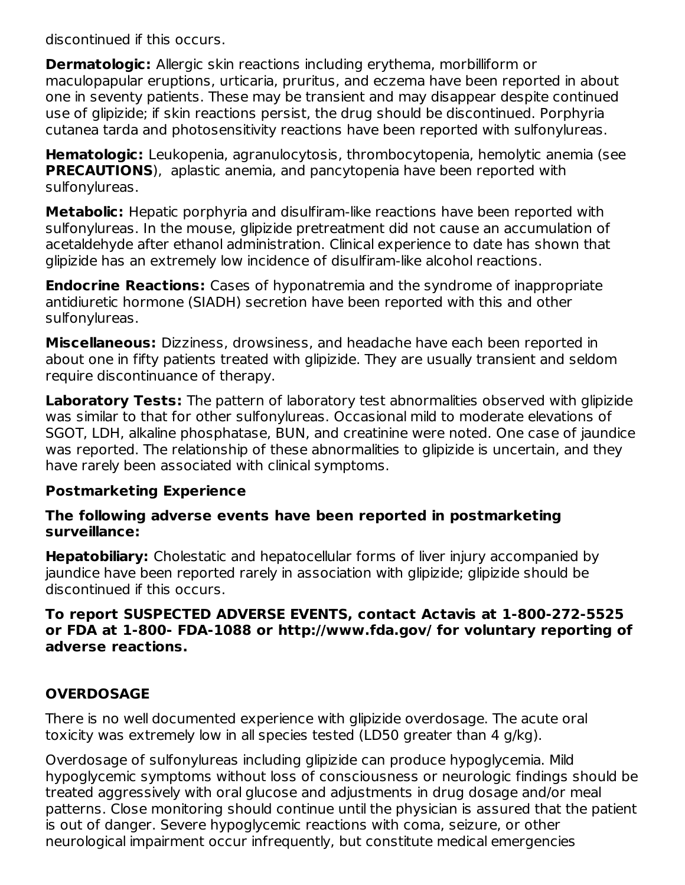discontinued if this occurs.

**Dermatologic:** Allergic skin reactions including erythema, morbilliform or maculopapular eruptions, urticaria, pruritus, and eczema have been reported in about one in seventy patients. These may be transient and may disappear despite continued use of glipizide; if skin reactions persist, the drug should be discontinued. Porphyria cutanea tarda and photosensitivity reactions have been reported with sulfonylureas.

**Hematologic:** Leukopenia, agranulocytosis, thrombocytopenia, hemolytic anemia (see **PRECAUTIONS**), aplastic anemia, and pancytopenia have been reported with sulfonylureas.

**Metabolic:** Hepatic porphyria and disulfiram-like reactions have been reported with sulfonylureas. In the mouse, glipizide pretreatment did not cause an accumulation of acetaldehyde after ethanol administration. Clinical experience to date has shown that glipizide has an extremely low incidence of disulfiram-like alcohol reactions.

**Endocrine Reactions:** Cases of hyponatremia and the syndrome of inappropriate antidiuretic hormone (SIADH) secretion have been reported with this and other sulfonylureas.

**Miscellaneous:** Dizziness, drowsiness, and headache have each been reported in about one in fifty patients treated with glipizide. They are usually transient and seldom require discontinuance of therapy.

**Laboratory Tests:** The pattern of laboratory test abnormalities observed with glipizide was similar to that for other sulfonylureas. Occasional mild to moderate elevations of SGOT, LDH, alkaline phosphatase, BUN, and creatinine were noted. One case of jaundice was reported. The relationship of these abnormalities to glipizide is uncertain, and they have rarely been associated with clinical symptoms.

## **Postmarketing Experience**

#### **The following adverse events have been reported in postmarketing surveillance:**

**Hepatobiliary:** Cholestatic and hepatocellular forms of liver injury accompanied by jaundice have been reported rarely in association with glipizide; glipizide should be discontinued if this occurs.

#### **To report SUSPECTED ADVERSE EVENTS, contact Actavis at 1-800-272-5525 or FDA at 1-800- FDA-1088 or http://www.fda.gov/ for voluntary reporting of adverse reactions.**

## **OVERDOSAGE**

There is no well documented experience with glipizide overdosage. The acute oral toxicity was extremely low in all species tested (LD50 greater than 4 g/kg).

Overdosage of sulfonylureas including glipizide can produce hypoglycemia. Mild hypoglycemic symptoms without loss of consciousness or neurologic findings should be treated aggressively with oral glucose and adjustments in drug dosage and/or meal patterns. Close monitoring should continue until the physician is assured that the patient is out of danger. Severe hypoglycemic reactions with coma, seizure, or other neurological impairment occur infrequently, but constitute medical emergencies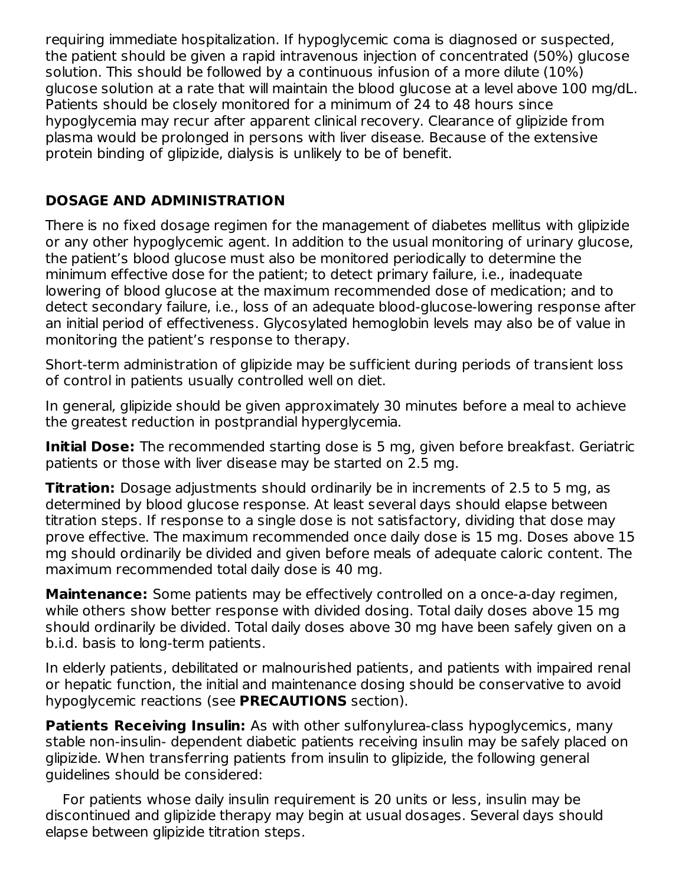requiring immediate hospitalization. If hypoglycemic coma is diagnosed or suspected, the patient should be given a rapid intravenous injection of concentrated (50%) glucose solution. This should be followed by a continuous infusion of a more dilute (10%) glucose solution at a rate that will maintain the blood glucose at a level above 100 mg/dL. Patients should be closely monitored for a minimum of 24 to 48 hours since hypoglycemia may recur after apparent clinical recovery. Clearance of glipizide from plasma would be prolonged in persons with liver disease. Because of the extensive protein binding of glipizide, dialysis is unlikely to be of benefit.

## **DOSAGE AND ADMINISTRATION**

There is no fixed dosage regimen for the management of diabetes mellitus with glipizide or any other hypoglycemic agent. In addition to the usual monitoring of urinary glucose, the patient's blood glucose must also be monitored periodically to determine the minimum effective dose for the patient; to detect primary failure, i.e., inadequate lowering of blood glucose at the maximum recommended dose of medication; and to detect secondary failure, i.e., loss of an adequate blood-glucose-lowering response after an initial period of effectiveness. Glycosylated hemoglobin levels may also be of value in monitoring the patient's response to therapy.

Short-term administration of glipizide may be sufficient during periods of transient loss of control in patients usually controlled well on diet.

In general, glipizide should be given approximately 30 minutes before a meal to achieve the greatest reduction in postprandial hyperglycemia.

**Initial Dose:** The recommended starting dose is 5 mg, given before breakfast. Geriatric patients or those with liver disease may be started on 2.5 mg.

**Titration:** Dosage adjustments should ordinarily be in increments of 2.5 to 5 mg, as determined by blood glucose response. At least several days should elapse between titration steps. If response to a single dose is not satisfactory, dividing that dose may prove effective. The maximum recommended once daily dose is 15 mg. Doses above 15 mg should ordinarily be divided and given before meals of adequate caloric content. The maximum recommended total daily dose is 40 mg.

**Maintenance:** Some patients may be effectively controlled on a once-a-day regimen, while others show better response with divided dosing. Total daily doses above 15 mg should ordinarily be divided. Total daily doses above 30 mg have been safely given on a b.i.d. basis to long-term patients.

In elderly patients, debilitated or malnourished patients, and patients with impaired renal or hepatic function, the initial and maintenance dosing should be conservative to avoid hypoglycemic reactions (see **PRECAUTIONS** section).

**Patients Receiving Insulin:** As with other sulfonylurea-class hypoglycemics, many stable non-insulin- dependent diabetic patients receiving insulin may be safely placed on glipizide. When transferring patients from insulin to glipizide, the following general guidelines should be considered:

For patients whose daily insulin requirement is 20 units or less, insulin may be discontinued and glipizide therapy may begin at usual dosages. Several days should elapse between glipizide titration steps.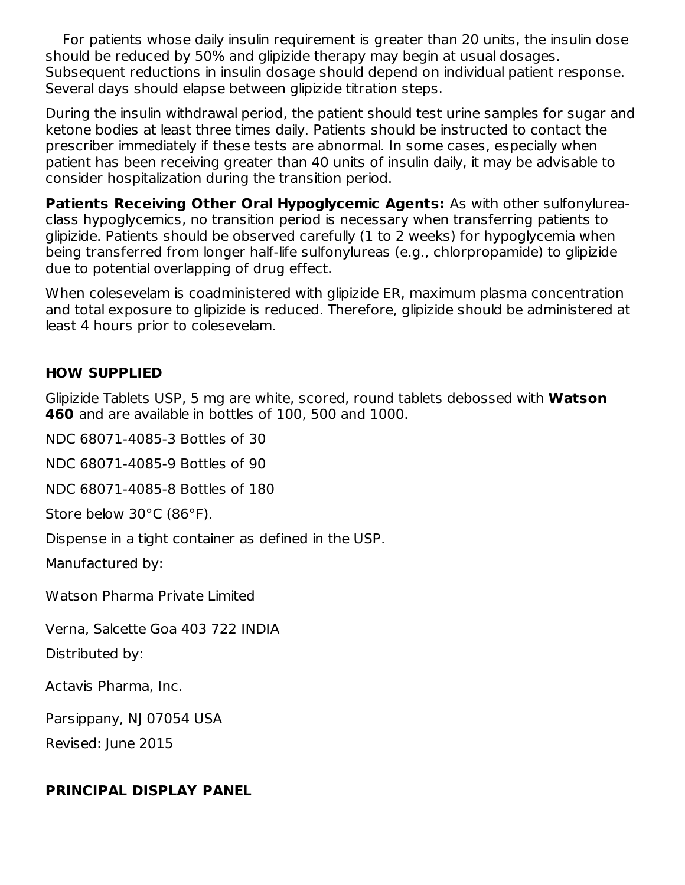For patients whose daily insulin requirement is greater than 20 units, the insulin dose should be reduced by 50% and glipizide therapy may begin at usual dosages. Subsequent reductions in insulin dosage should depend on individual patient response. Several days should elapse between glipizide titration steps.

During the insulin withdrawal period, the patient should test urine samples for sugar and ketone bodies at least three times daily. Patients should be instructed to contact the prescriber immediately if these tests are abnormal. In some cases, especially when patient has been receiving greater than 40 units of insulin daily, it may be advisable to consider hospitalization during the transition period.

**Patients Receiving Other Oral Hypoglycemic Agents:** As with other sulfonylureaclass hypoglycemics, no transition period is necessary when transferring patients to glipizide. Patients should be observed carefully (1 to 2 weeks) for hypoglycemia when being transferred from longer half-life sulfonylureas (e.g., chlorpropamide) to glipizide due to potential overlapping of drug effect.

When colesevelam is coadministered with glipizide ER, maximum plasma concentration and total exposure to glipizide is reduced. Therefore, glipizide should be administered at least 4 hours prior to colesevelam.

## **HOW SUPPLIED**

Glipizide Tablets USP, 5 mg are white, scored, round tablets debossed with **Watson 460** and are available in bottles of 100, 500 and 1000.

NDC 68071-4085-3 Bottles of 30

NDC 68071-4085-9 Bottles of 90

NDC 68071-4085-8 Bottles of 180

Store below 30°C (86°F).

Dispense in a tight container as defined in the USP.

Manufactured by:

Watson Pharma Private Limited

Verna, Salcette Goa 403 722 INDIA

Distributed by:

Actavis Pharma, Inc.

Parsippany, NJ 07054 USA

Revised: June 2015

## **PRINCIPAL DISPLAY PANEL**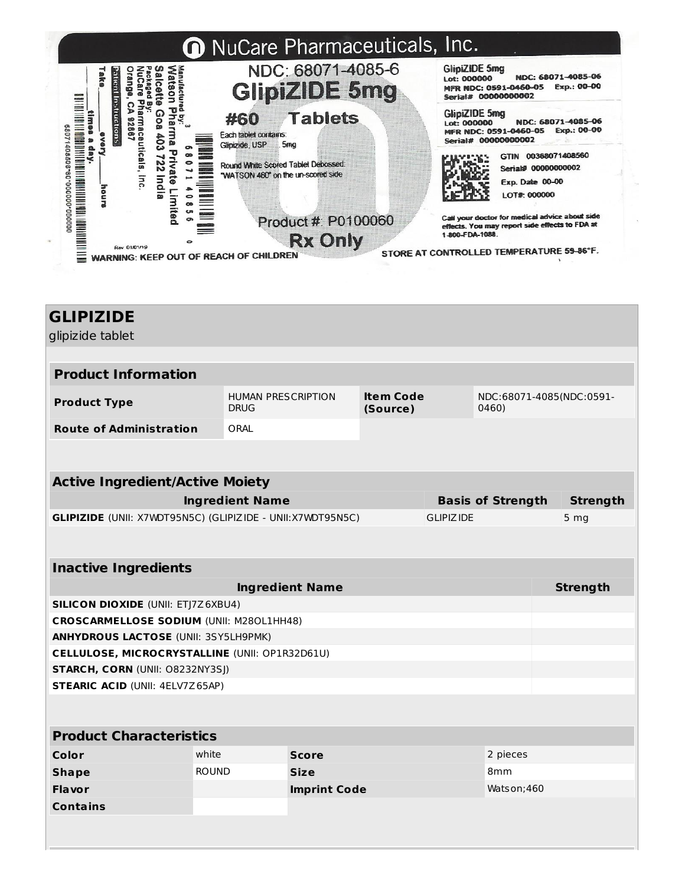

| <b>GLIPIZIDE</b><br>glipizide tablet                              |              |                                                                                   |                     |  |                   |                          |                          |                 |
|-------------------------------------------------------------------|--------------|-----------------------------------------------------------------------------------|---------------------|--|-------------------|--------------------------|--------------------------|-----------------|
|                                                                   |              |                                                                                   |                     |  |                   |                          |                          |                 |
| <b>Product Information</b>                                        |              |                                                                                   |                     |  |                   |                          |                          |                 |
| <b>Product Type</b>                                               |              | <b>Item Code</b><br><b>HUMAN PRESCRIPTION</b><br><b>DRUG</b><br>0460)<br>(Source) |                     |  |                   |                          | NDC:68071-4085(NDC:0591- |                 |
| <b>Route of Administration</b>                                    | ORAL         |                                                                                   |                     |  |                   |                          |                          |                 |
|                                                                   |              |                                                                                   |                     |  |                   |                          |                          |                 |
| <b>Active Ingredient/Active Moiety</b>                            |              |                                                                                   |                     |  |                   |                          |                          |                 |
| <b>Ingredient Name</b>                                            |              |                                                                                   |                     |  |                   | <b>Basis of Strength</b> |                          | <b>Strength</b> |
| <b>GLIPIZIDE</b> (UNII: X7WDT95N5C) (GLIPIZIDE - UNII:X7WDT95N5C) |              |                                                                                   |                     |  | <b>GLIPIZ IDE</b> |                          |                          | 5 <sub>mq</sub> |
|                                                                   |              |                                                                                   |                     |  |                   |                          |                          |                 |
| <b>Inactive Ingredients</b>                                       |              |                                                                                   |                     |  |                   |                          |                          |                 |
|                                                                   |              | <b>Ingredient Name</b>                                                            |                     |  |                   |                          |                          | <b>Strength</b> |
| <b>SILICON DIOXIDE (UNII: ETJ7Z6XBU4)</b>                         |              |                                                                                   |                     |  |                   |                          |                          |                 |
| <b>CROSCARMELLOSE SODIUM (UNII: M280L1HH48)</b>                   |              |                                                                                   |                     |  |                   |                          |                          |                 |
| <b>ANHYDROUS LACTOSE (UNII: 3SY5LH9PMK)</b>                       |              |                                                                                   |                     |  |                   |                          |                          |                 |
| CELLULOSE, MICROCRYSTALLINE (UNII: OP1R32D61U)                    |              |                                                                                   |                     |  |                   |                          |                          |                 |
| STARCH, CORN (UNII: O8232NY3SJ)                                   |              |                                                                                   |                     |  |                   |                          |                          |                 |
| <b>STEARIC ACID (UNII: 4ELV7Z65AP)</b>                            |              |                                                                                   |                     |  |                   |                          |                          |                 |
|                                                                   |              |                                                                                   |                     |  |                   |                          |                          |                 |
| <b>Product Characteristics</b>                                    |              |                                                                                   |                     |  |                   |                          |                          |                 |
| Color                                                             | white        |                                                                                   | <b>Score</b>        |  |                   | 2 pieces                 |                          |                 |
| <b>Shape</b>                                                      | <b>ROUND</b> |                                                                                   | <b>Size</b>         |  |                   | 8 <sub>mm</sub>          |                          |                 |
| <b>Flavor</b>                                                     |              |                                                                                   | <b>Imprint Code</b> |  |                   | Watson; 460              |                          |                 |
| <b>Contains</b>                                                   |              |                                                                                   |                     |  |                   |                          |                          |                 |
|                                                                   |              |                                                                                   |                     |  |                   |                          |                          |                 |
|                                                                   |              |                                                                                   |                     |  |                   |                          |                          |                 |